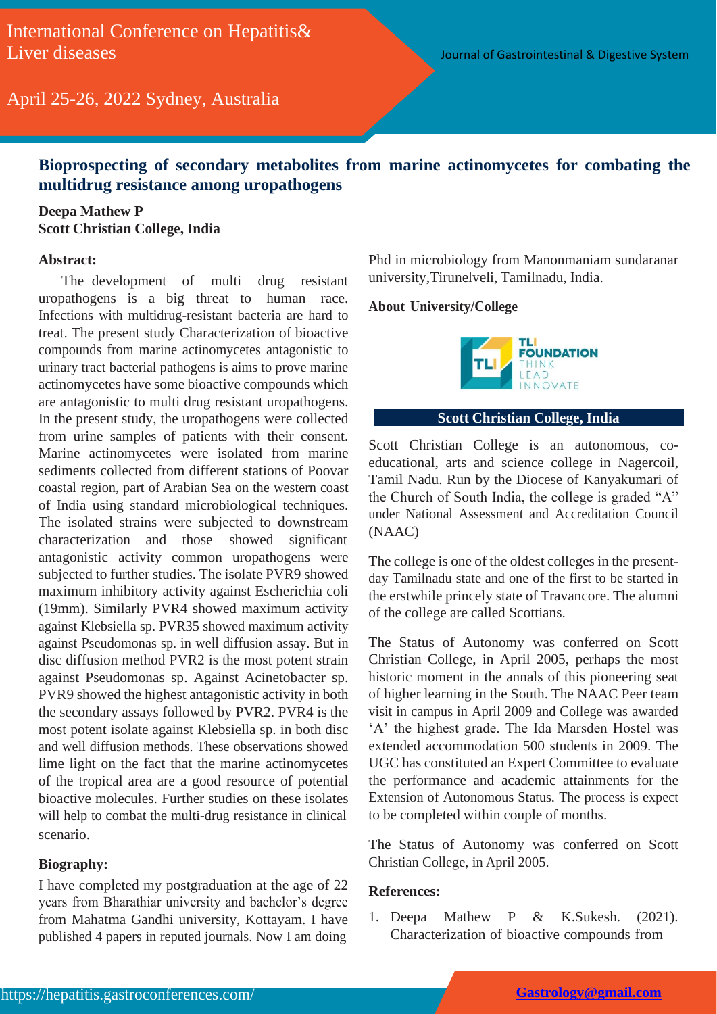April 25-26, 2022 Sydney, Australia

## **Bioprospecting of secondary metabolites from marine actinomycetes for combating the multidrug resistance among uropathogens**

### **Deepa Mathew P Scott Christian College, India**

#### **Abstract:**

The development of multi drug resistant uropathogens is a big threat to human race. Infections with multidrug-resistant bacteria are hard to treat. The present study Characterization of bioactive compounds from marine actinomycetes antagonistic to urinary tract bacterial pathogens is aims to prove marine actinomycetes have some bioactive compounds which are antagonistic to multi drug resistant uropathogens. In the present study, the uropathogens were collected from urine samples of patients with their consent. Marine actinomycetes were isolated from marine sediments collected from different stations of Poovar coastal region, part of Arabian Sea on the western coast of India using standard microbiological techniques. The isolated strains were subjected to downstream characterization and those showed significant antagonistic activity common uropathogens were subjected to further studies. The isolate PVR9 showed maximum inhibitory activity against Escherichia coli (19mm). Similarly PVR4 showed maximum activity against Klebsiella sp. PVR35 showed maximum activity against Pseudomonas sp. in well diffusion assay. But in disc diffusion method PVR2 is the most potent strain against Pseudomonas sp. Against Acinetobacter sp. PVR9 showed the highest antagonistic activity in both the secondary assays followed by PVR2. PVR4 is the most potent isolate against Klebsiella sp. in both disc and well diffusion methods. These observations showed lime light on the fact that the marine actinomycetes of the tropical area are a good resource of potential bioactive molecules. Further studies on these isolates will help to combat the multi-drug resistance in clinical scenario.

#### **Biography:**

I have completed my postgraduation at the age of 22 years from Bharathiar university and bachelor's degree from Mahatma Gandhi university, Kottayam. I have published 4 papers in reputed journals. Now I am doing

Phd in microbiology from Manonmaniam sundaranar university,Tirunelveli, Tamilnadu, India.

#### **About University/College**



#### **Scott Christian College, India**

Scott Christian College is an autonomous, coeducational, arts and science college in Nagercoil, Tamil Nadu. Run by the Diocese of Kanyakumari of the Church of South India, the college is graded "A" under National Assessment and Accreditation Council (NAAC)

The college is one of the oldest colleges in the presentday Tamilnadu state and one of the first to be started in the erstwhile princely state of Travancore. The alumni of the college are called Scottians.

The Status of Autonomy was conferred on Scott Christian College, in April 2005, perhaps the most historic moment in the annals of this pioneering seat of higher learning in the South. The NAAC Peer team visit in campus in April 2009 and College was awarded 'A' the highest grade. The Ida Marsden Hostel was extended accommodation 500 students in 2009. The UGC has constituted an Expert Committee to evaluate the performance and academic attainments for the Extension of Autonomous Status. The process is expect to be completed within couple of months.

The Status of Autonomy was conferred on Scott Christian College, in April 2005.

#### **References:**

1. Deepa Mathew P & K.Sukesh. (2021). Characterization of bioactive compounds from